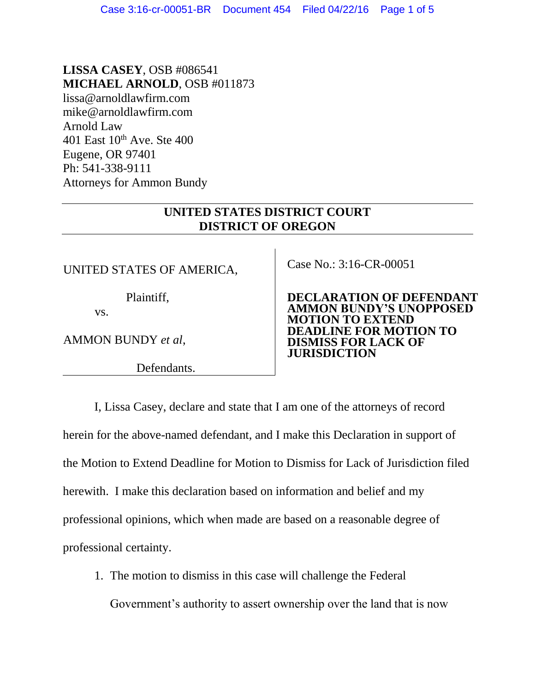## **LISSA CASEY**, OSB #086541 **MICHAEL ARNOLD**, OSB #011873

lissa@arnoldlawfirm.com mike@arnoldlawfirm.com Arnold Law 401 East  $10^{th}$  Ave. Ste 400 Eugene, OR 97401 Ph: 541-338-9111 Attorneys for Ammon Bundy

## **UNITED STATES DISTRICT COURT DISTRICT OF OREGON**

UNITED STATES OF AMERICA,

Plaintiff,

vs.

AMMON BUNDY *et al*,

Defendants.

Case No.: 3:16-CR-00051

**DECLARATION OF DEFENDANT AMMON BUNDY'S UNOPPOSED MOTION TO EXTEND DEADLINE FOR MOTION TO DISMISS FOR LACK OF JURISDICTION**

I, Lissa Casey, declare and state that I am one of the attorneys of record herein for the above-named defendant, and I make this Declaration in support of the Motion to Extend Deadline for Motion to Dismiss for Lack of Jurisdiction filed herewith. I make this declaration based on information and belief and my professional opinions, which when made are based on a reasonable degree of professional certainty.

1. The motion to dismiss in this case will challenge the Federal

Government's authority to assert ownership over the land that is now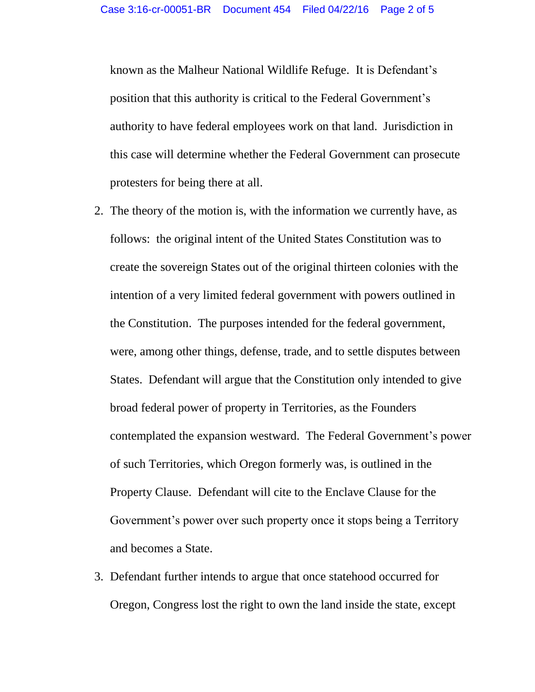known as the Malheur National Wildlife Refuge. It is Defendant's position that this authority is critical to the Federal Government's authority to have federal employees work on that land. Jurisdiction in this case will determine whether the Federal Government can prosecute protesters for being there at all.

- 2. The theory of the motion is, with the information we currently have, as follows: the original intent of the United States Constitution was to create the sovereign States out of the original thirteen colonies with the intention of a very limited federal government with powers outlined in the Constitution. The purposes intended for the federal government, were, among other things, defense, trade, and to settle disputes between States. Defendant will argue that the Constitution only intended to give broad federal power of property in Territories, as the Founders contemplated the expansion westward. The Federal Government's power of such Territories, which Oregon formerly was, is outlined in the Property Clause. Defendant will cite to the Enclave Clause for the Government's power over such property once it stops being a Territory and becomes a State.
- 3. Defendant further intends to argue that once statehood occurred for Oregon, Congress lost the right to own the land inside the state, except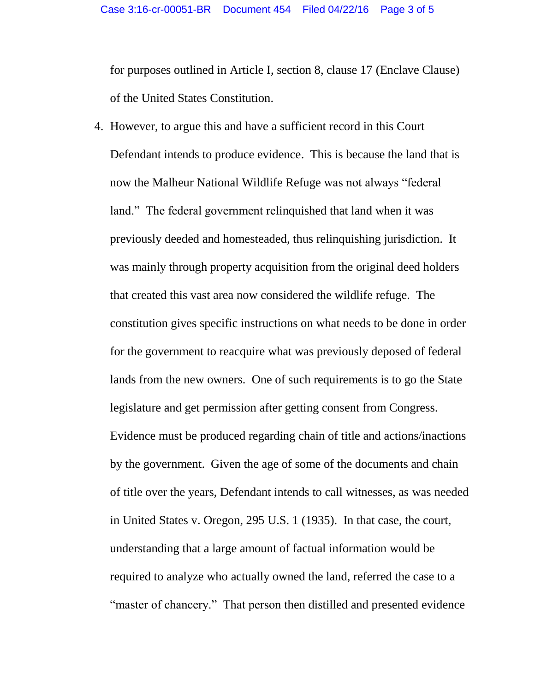for purposes outlined in Article I, section 8, clause 17 (Enclave Clause) of the United States Constitution.

4. However, to argue this and have a sufficient record in this Court Defendant intends to produce evidence. This is because the land that is now the Malheur National Wildlife Refuge was not always "federal land." The federal government relinquished that land when it was previously deeded and homesteaded, thus relinquishing jurisdiction. It was mainly through property acquisition from the original deed holders that created this vast area now considered the wildlife refuge. The constitution gives specific instructions on what needs to be done in order for the government to reacquire what was previously deposed of federal lands from the new owners. One of such requirements is to go the State legislature and get permission after getting consent from Congress. Evidence must be produced regarding chain of title and actions/inactions by the government. Given the age of some of the documents and chain of title over the years, Defendant intends to call witnesses, as was needed in United States v. Oregon, 295 U.S. 1 (1935). In that case, the court, understanding that a large amount of factual information would be required to analyze who actually owned the land, referred the case to a "master of chancery." That person then distilled and presented evidence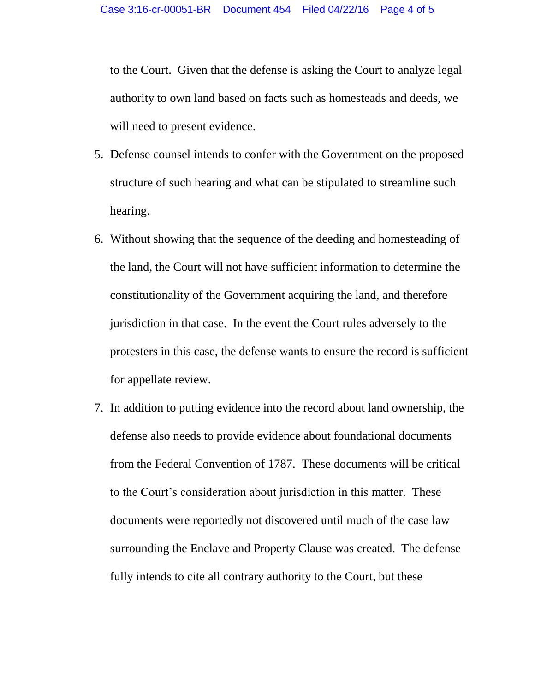to the Court. Given that the defense is asking the Court to analyze legal authority to own land based on facts such as homesteads and deeds, we will need to present evidence.

- 5. Defense counsel intends to confer with the Government on the proposed structure of such hearing and what can be stipulated to streamline such hearing.
- 6. Without showing that the sequence of the deeding and homesteading of the land, the Court will not have sufficient information to determine the constitutionality of the Government acquiring the land, and therefore jurisdiction in that case. In the event the Court rules adversely to the protesters in this case, the defense wants to ensure the record is sufficient for appellate review.
- 7. In addition to putting evidence into the record about land ownership, the defense also needs to provide evidence about foundational documents from the Federal Convention of 1787. These documents will be critical to the Court's consideration about jurisdiction in this matter. These documents were reportedly not discovered until much of the case law surrounding the Enclave and Property Clause was created. The defense fully intends to cite all contrary authority to the Court, but these